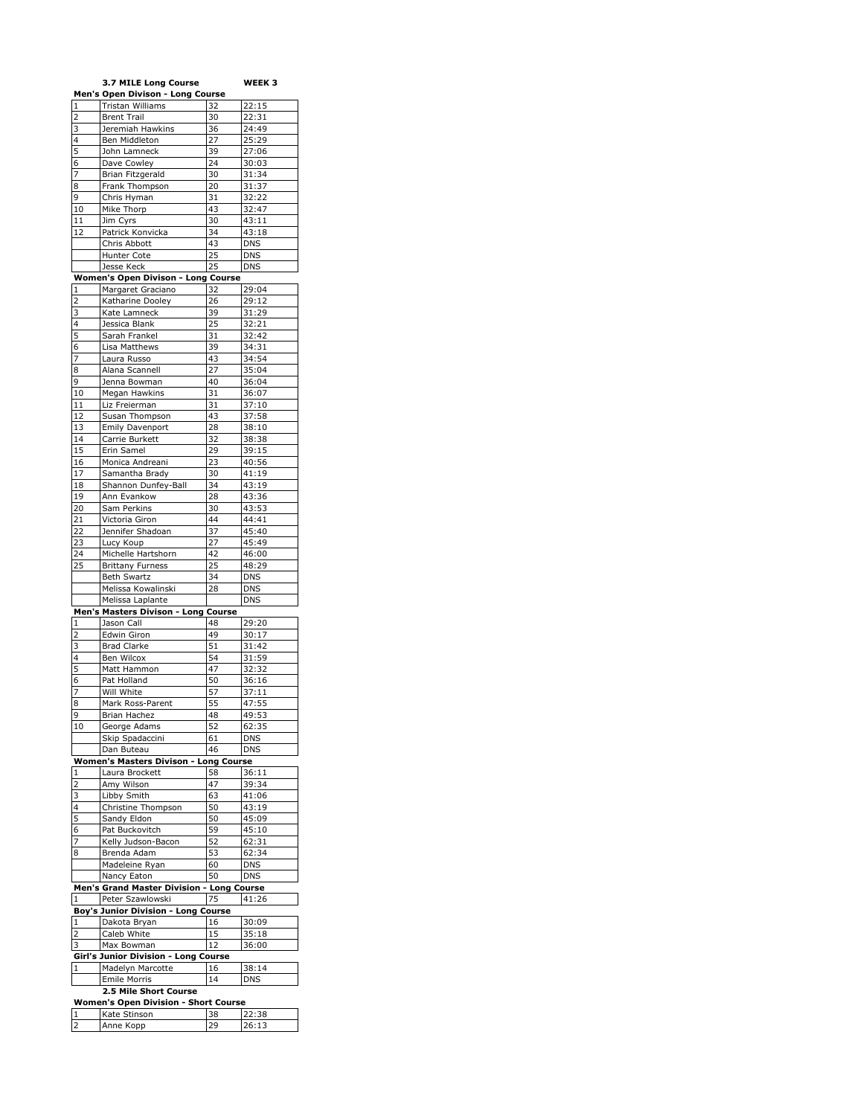|                | 3.7 MILE Long Course                        |                    | WEEK 3     |
|----------------|---------------------------------------------|--------------------|------------|
|                | Men's Open Divison - Long Course            |                    |            |
| $\mathbf{1}$   | Tristan Williams                            | 32                 | 22:15      |
| $\overline{2}$ | <b>Brent Trail</b>                          | 30                 | 22:31      |
| 3              | Jeremiah Hawkins                            | 36                 | 24:49      |
| 4              | Ben Middleton                               | 27                 | 25:29      |
| 5              | John Lamneck                                | 39                 | 27:06      |
| 6              | Dave Cowley                                 | 24                 | 30:03      |
| 7              | Brian Fitzgerald                            | 30                 | 31:34      |
| 8              | Frank Thompson                              | 20                 | 31:37      |
| 9              | Chris Hyman                                 | 31                 | 32:22      |
| 10             | Mike Thorp                                  | 43                 | 32:47      |
| 11             | Jim Cyrs                                    | 30                 | 43:11      |
| 12             | Patrick Konvicka                            | 34                 | 43:18      |
|                | Chris Abbott                                | 43                 | <b>DNS</b> |
|                | Hunter Cote                                 | 25                 | <b>DNS</b> |
|                | Jesse Keck                                  | 25                 | <b>DNS</b> |
|                | <b>Women's Open Divison - Long Course</b>   |                    |            |
| 1              | Margaret Graciano                           | 32                 | 29:04      |
| $\overline{2}$ | Katharine Dooley                            | 26                 | 29:12      |
| 3              | Kate Lamneck                                | 39                 | 31:29      |
| 4              | Jessica Blank                               | 25                 |            |
|                |                                             |                    | 32:21      |
| 5              | Sarah Frankel                               | 31                 | 32:42      |
| 6              | Lisa Matthews                               | 39                 | 34:31      |
| 7              | Laura Russo                                 | 43                 | 34:54      |
| 8              | Alana Scannell                              | 27                 | 35:04      |
| 9              | Jenna Bowman                                | 40                 | 36:04      |
| 10             | Megan Hawkins                               | 31                 | 36:07      |
| 11             | Liz Freierman                               | 31                 | 37:10      |
| 12             | Susan Thompson                              | 43                 | 37:58      |
| 13             | Emily Davenport                             | 28                 | 38:10      |
| 14             | Carrie Burkett                              | 32                 | 38:38      |
| 15             | Erin Samel                                  | 29                 | 39:15      |
| 16             | Monica Andreani                             | 23                 | 40:56      |
| 17             | Samantha Brady                              | 30                 | 41:19      |
| 18             | Shannon Dunfey-Ball                         | 34                 | 43:19      |
| 19             | Ann Evankow                                 | 28                 | 43:36      |
| 20             | Sam Perkins                                 | 30                 | 43:53      |
| 21             | Victoria Giron                              | 44                 | 44:41      |
| 22             | Jennifer Shadoan                            | 37                 | 45:40      |
| 23             | Lucy Koup                                   | 27                 | 45:49      |
| 24             | Michelle Hartshorn                          | 42                 | 46:00      |
| 25             | <b>Brittany Furness</b>                     | 25                 | 48:29      |
|                | <b>Beth Swartz</b>                          | 34                 | <b>DNS</b> |
|                | Melissa Kowalinski                          | 28                 | <b>DNS</b> |
|                | Melissa Laplante                            |                    | <b>DNS</b> |
|                | Men's Masters Divison - Long Course         |                    |            |
| 1              | Jason Call                                  | 48                 | 29:20      |
| 2              | Edwin Giron                                 | 49                 | 30:17      |
| 3              | <b>Brad Clarke</b>                          | 51                 | 31:42      |
| 4              | Ben Wilcox                                  | 54                 | 31:59      |
| 5              | Matt Hammon                                 | 47                 | 32:32      |
| 6              | Pat Holland                                 | 50                 | 36:16      |
| 7              | Will White                                  | 57                 | 37:11      |
| 8              | Mark Ross-Parent                            | 55                 | 47:55      |
| 9              | Brian Hachez                                | 48                 | 49:53      |
| 10             |                                             | 52                 | 62:35      |
|                | George Adams<br>Skip Spadaccini             |                    |            |
|                |                                             |                    |            |
|                |                                             | 61                 | DNS        |
|                | Dan Buteau                                  | 46                 | <b>DNS</b> |
|                | Women's Masters Divison - Long Course       |                    |            |
| 1              | Laura Brockett                              | 58                 | 36:11      |
| 2              | Amy Wilson                                  | 47                 | 39:34      |
| 3              | Libby Smith                                 | 63                 | 41:06      |
| 4              | Christine Thompson                          | 50                 | 43:19      |
| 5              | Sandy Eldon                                 | 50                 | 45:09      |
| 6              | Pat Buckovitch                              | 59                 | 45:10      |
| 7              | Kelly Judson-Bacon                          | 52                 | 62:31      |
| 8              | Brenda Adam                                 | 53                 | 62:34      |
|                | Madeleine Ryan                              | 60                 | DNS        |
|                | Nancy Eaton                                 | 50                 | <b>DNS</b> |
|                | Men's Grand Master Division .               | <b>Long Course</b> |            |
| 1              | Peter Szawlowski                            | 75                 | 41:26      |
|                | <b>Boy's Junior Division - Long Course</b>  |                    |            |
| $\mathbf 1$    | Dakota Bryan                                | 16                 | 30:09      |
| 2              | Caleb White                                 | 15                 | 35:18      |
| 3              | Max Bowman                                  | 12                 | 36:00      |
|                | Girl's Junior Division - Long Course        |                    |            |
| $\mathbf{1}$   | Madelyn Marcotte                            | 16                 | 38:14      |
|                | <b>Emile Morris</b>                         | 14                 | <b>DNS</b> |
|                | 2.5 Mile Short Course                       |                    |            |
|                | <b>Women's Open Division - Short Course</b> |                    |            |
| 1              | Kate Stinson                                | 38                 | 22:38      |